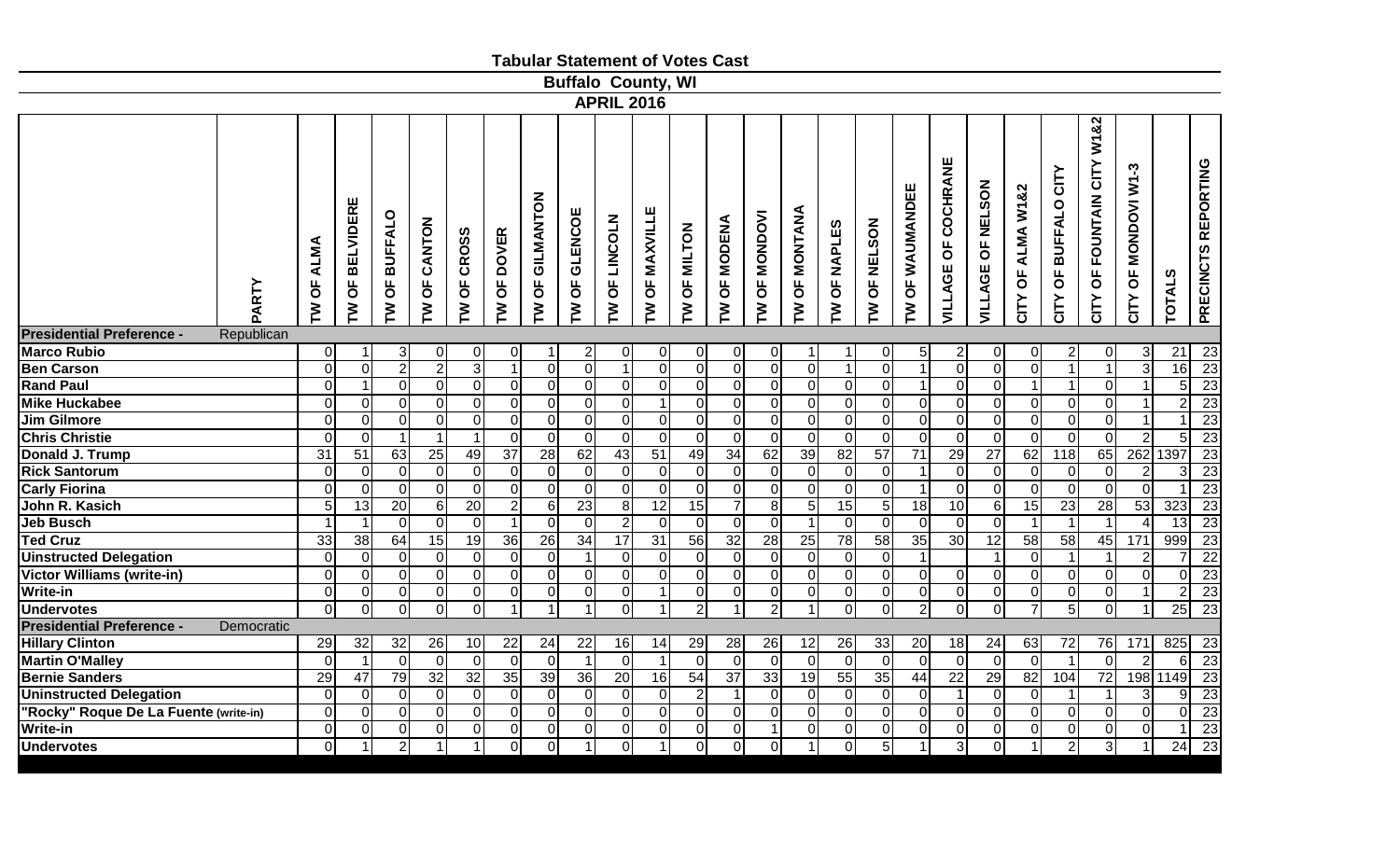|                                                |                       |                                |                                       |                               |                         |                                     |                     |                                       |                                |                           |                                      | <b>Tabular Statement of Votes Cast</b> |                          |                 |                               |                         |                          |                               |                                            |                        |                                  |                                                           |                                  |                 |                     |
|------------------------------------------------|-----------------------|--------------------------------|---------------------------------------|-------------------------------|-------------------------|-------------------------------------|---------------------|---------------------------------------|--------------------------------|---------------------------|--------------------------------------|----------------------------------------|--------------------------|-----------------|-------------------------------|-------------------------|--------------------------|-------------------------------|--------------------------------------------|------------------------|----------------------------------|-----------------------------------------------------------|----------------------------------|-----------------|---------------------|
|                                                |                       |                                |                                       |                               |                         |                                     |                     |                                       |                                | <b>Buffalo County, WI</b> |                                      |                                        |                          |                 |                               |                         |                          |                               |                                            |                        |                                  |                                                           |                                  |                 |                     |
|                                                |                       |                                |                                       |                               |                         |                                     |                     |                                       | <b>APRIL 2016</b>              |                           |                                      |                                        |                          |                 |                               |                         |                          |                               |                                            |                        |                                  |                                                           |                                  |                 |                     |
| PARTY                                          | <b>ALMA</b><br>Ъ<br>ξ | ш<br><b>BELVIDER</b><br>Ъ<br>ξ | <b>BUFFALO</b><br>$\overline{6}$<br>ξ | CANTON<br>$\overline{6}$<br>ξ | <b>CROSS</b><br>Ъ<br>ξ  | <b>DOVER</b><br>$\overline{5}$<br>ξ | GILMANTON<br>Ъ<br>ξ | <b>GLENCOE</b><br>$\overline{5}$<br>Σ | LINCOLN<br>$\overline{6}$<br>ξ | <b>MAXVILLE</b><br>Ъ<br>ξ | <b>MILTON</b><br>$\overline{6}$<br>ξ | <b>OF MODENA</b><br>ξ                  | <b>MONDOVI</b><br>Ъ<br>ξ | OF MONTANA<br>ξ | NAPLES<br>$\overline{5}$<br>ξ | <b>NELSON</b><br>Ъ<br>ξ | <b>OF WAUMANDEE</b><br>ξ | COCHRANE<br><b>VILLAGE OF</b> | <b>NELSON</b><br>$\overline{6}$<br>VILLAGE | ALMA W1&2<br>Ъ<br>CITY | <b>BUFFALO CITY</b><br>Ъ<br>CITY | W1&2<br>CITY<br><b>FOUNTAIN</b><br>$\overline{6}$<br>CITY | <b>MONDOVI W1-3</b><br>Ъ<br>CITY | <b>TOTALS</b>   | PRECINCTS REPORTING |
| <b>Presidential Preference -</b><br>Republican |                       |                                |                                       |                               |                         |                                     |                     |                                       |                                |                           |                                      |                                        |                          |                 |                               |                         |                          |                               |                                            |                        |                                  |                                                           |                                  |                 |                     |
| Marco Rubio                                    | $\overline{0}$        | -1                             | 3                                     | $\overline{0}$                | 0                       | 0                                   |                     | $\overline{c}$                        | 0                              | 01                        | $\overline{0}$                       | $\overline{0}$                         | 0                        | 1               |                               | 0                       | 5 <sup>1</sup>           | $\overline{c}$                | 0                                          | $\overline{0}$         | $\overline{c}$                   | 01                                                        |                                  | 21              | 23                  |
| <b>Ben Carson</b>                              | $\overline{0}$        | $\overline{O}$                 | $\sqrt{2}$                            | $\overline{2}$                | $\overline{3}$          | $\overline{1}$                      | $\overline{0}$      | $\overline{0}$                        | $\mathbf{1}$                   | $\Omega$                  | $\overline{0}$                       | $\overline{0}$                         | $\mathbf 0$              | $\overline{0}$  | $\mathbf{1}$                  | $\overline{0}$          |                          | $\overline{0}$                | $\mathbf 0$                                | $\overline{0}$         | $\mathbf{1}$                     | $\overline{1}$                                            | 3                                | 16              | 23                  |
| <b>Rand Paul</b>                               | $\overline{0}$        | $\mathbf{1}$                   | $\pmb{0}$                             | $\overline{0}$                | $\overline{0}$          | 0                                   | $\overline{0}$      | $\overline{0}$                        | 0                              | $\overline{0}$            | $\overline{0}$                       | $\overline{0}$                         | $\overline{0}$           | $\overline{0}$  | $\overline{0}$                | $\overline{0}$          |                          | $\overline{0}$                | $\pmb{0}$                                  | $\mathbf{1}$           | $\mathbf{1}$                     | 0                                                         |                                  | $\overline{5}$  | $\overline{23}$     |
| <b>Mike Huckabee</b>                           | $\Omega$              | $\Omega$                       | 0                                     | $\overline{0}$                | $\overline{0}$          | 0                                   | $\overline{0}$      | $\overline{0}$                        | 0                              | -1                        | $\overline{0}$                       | $\overline{0}$                         | $\mathbf 0$              | $\overline{0}$  | 0                             | $\mathbf 0$             | 0                        | $\overline{0}$                | $\pmb{0}$                                  | $\overline{0}$         | $\mathbf 0$                      | 0                                                         |                                  | $\overline{2}$  | $\overline{23}$     |
| <b>Jim Gilmore</b>                             | $\overline{0}$        | $\overline{0}$                 | $\mathbf 0$                           | $\overline{0}$                | $\overline{0}$          | 0                                   | $\overline{0}$      | $\overline{0}$                        | 0                              | $\Omega$                  | $\overline{0}$                       | $\overline{0}$                         | $\mathbf 0$              | $\overline{0}$  | $\overline{0}$                | $\mathbf 0$             | 0                        | $\overline{0}$                | $\overline{0}$                             | $\overline{0}$         | $\overline{0}$                   | 0                                                         |                                  | $\overline{1}$  | 23                  |
| <b>Chris Christie</b>                          | 0                     | $\overline{0}$                 | 1                                     |                               |                         | $\mathbf 0$                         | $\overline{0}$      | $\overline{0}$                        | 0                              | $\overline{0}$            | $\overline{0}$                       | $\overline{0}$                         | $\mathbf 0$              | $\overline{0}$  | $\overline{0}$                | $\overline{0}$          | 0                        | $\overline{O}$                | $\mathbf 0$                                | $\overline{0}$         | $\overline{0}$                   | $\overline{0}$                                            |                                  | $\overline{5}$  | 23                  |
| <b>Donald J. Trump</b>                         | $\overline{31}$       | 51                             | 63                                    | 25                            | 49                      | $\overline{37}$                     | $\overline{28}$     | 62                                    | 43                             | $\overline{51}$           | 49                                   | 34                                     | 62                       | 39              | 82                            | $\overline{57}$         | $\overline{71}$          | 29                            | $\overline{27}$                            | 62                     | $\overline{118}$                 | 65                                                        | 262 1397                         |                 | 23                  |
| <b>Rick Santorum</b>                           | 0                     | $\overline{0}$                 | $\mathbf 0$                           | $\overline{0}$                | $\overline{\mathsf{O}}$ | 0                                   | $\Omega$            | $\overline{0}$                        | 0                              | $\Omega$                  | $\overline{0}$                       | $\overline{0}$                         | $\mathbf 0$              | $\overline{0}$  | 0                             | 0                       |                          | $\overline{0}$                | $\mathbf 0$                                | $\overline{0}$         | $\overline{0}$                   | 0                                                         | $\overline{2}$                   | $\overline{3}$  | $\overline{23}$     |
| <b>Carly Fiorina</b>                           | $\Omega$              | $\Omega$                       | $\Omega$                              | $\overline{0}$                | $\mathbf 0$             | 0                                   | $\Omega$            | $\overline{0}$                        | $\Omega$                       | $\Omega$                  | $\mathbf 0$                          | $\overline{0}$                         | $\mathbf 0$              | $\overline{0}$  | $\Omega$                      | $\Omega$                |                          | $\overline{0}$                | $\Omega$                                   | $\overline{0}$         | $\mathbf 0$                      | $\Omega$                                                  | $\Omega$                         | $\overline{ }$  | 23                  |
| John R. Kasich                                 | 5 <sub>l</sub>        | 13                             | 20                                    | $\overline{6}$                | 20                      | $\overline{2}$                      | $6 \mid$            | $\overline{23}$                       | 8                              | 12                        | 15                                   | $\overline{7}$                         | 8                        | $\overline{5}$  | 15                            | 5                       | $\overline{18}$          | 10                            | 6                                          | 15                     | 23                               | 28                                                        | 53                               | 323             | $\overline{23}$     |
| <b>Jeb Busch</b>                               |                       | $\overline{1}$                 | $\Omega$                              | $\overline{0}$                | $\overline{0}$          | $\overline{1}$                      | $\Omega$            | $\overline{0}$                        | $\overline{2}$                 | $\Omega$                  | $\overline{0}$                       | $\Omega$                               | $\mathbf 0$              | $\mathbf 1$     | $\overline{0}$                | $\Omega$                | 0                        | $\overline{0}$                | $\overline{0}$                             |                        |                                  | $\overline{1}$                                            |                                  | 13              | 23                  |
| <b>Ted Cruz</b>                                | 33                    | 38                             | 64                                    | 15                            | 19                      | 36                                  | 26                  | $\overline{34}$                       | 17                             | 31                        | 56                                   | 32                                     | 28                       | 25              | 78                            | 58                      | 35                       | 30                            | 12                                         | 58                     | 58                               | 45                                                        | 171                              | 999             | 23                  |
| <b>Uinstructed Delegation</b>                  | 0                     | $\overline{0}$                 | $\mathbf 0$                           | $\overline{0}$                | $\overline{0}$          | 0                                   | $\overline{0}$      | $\overline{1}$                        | 0                              | $\Omega$                  | $\pmb{0}$                            | $\overline{0}$                         | $\mathbf 0$              | $\overline{0}$  | 0                             | $\mathbf 0$             |                          |                               |                                            | $\overline{0}$         | $\mathbf{1}$                     | $\mathbf{1}$                                              | $\overline{2}$                   | $\overline{7}$  | $\overline{22}$     |
| <b>Victor Williams (write-in)</b>              | 0                     | $\overline{O}$                 | $\mathbf 0$                           | $\overline{0}$                | $\pmb{0}$               | 0                                   | $\overline{0}$      | $\overline{0}$                        | $\overline{0}$                 | $\mathbf 0$               | $\mathbf 0$                          | $\Omega$                               | $\mathbf 0$              | $\overline{0}$  | $\overline{0}$                | $\mathbf 0$             | 0                        | $\overline{O}$                | $\mathbf 0$                                | $\overline{0}$         | $\pmb{0}$                        | 0                                                         | $\overline{0}$                   | $\overline{0}$  | $\overline{23}$     |
| Write-in                                       | $\overline{0}$        | $\overline{0}$                 | $\mathbf 0$                           | $\overline{0}$                | $\overline{0}$          | 0                                   | $\Omega$            | $\overline{0}$                        | 0                              | -1                        | $\overline{0}$                       | $\overline{0}$                         | $\mathbf 0$              | $\overline{0}$  | $\overline{0}$                | $\mathbf 0$             | 0                        | $\overline{0}$                | $\mathbf 0$                                | $\overline{0}$         | $\pmb{0}$                        | $\overline{0}$                                            |                                  | $\overline{2}$  | $\overline{23}$     |
| <b>Undervotes</b>                              | $\Omega$              | 0                              | 0                                     | $\overline{0}$                | $\overline{0}$          | 1                                   |                     | $\overline{1}$                        | $\Omega$                       | 1                         | $\overline{2}$                       |                                        | $\overline{2}$           | 1               | $\Omega$                      | $\Omega$                | $\overline{2}$           | $\overline{0}$                | 0                                          | $\overline{7}$         | $\overline{5}$                   | $\Omega$                                                  |                                  | 25              | 23                  |
| <b>Presidential Preference -</b><br>Democratic |                       |                                |                                       |                               |                         |                                     |                     |                                       |                                |                           |                                      |                                        |                          |                 |                               |                         |                          |                               |                                            |                        |                                  |                                                           |                                  |                 |                     |
| <b>Hillary Clinton</b>                         | 29                    | 32                             | 32                                    | 26                            | 10                      | 22                                  | 24                  | 22                                    | 16                             | 14                        | 29                                   | 28                                     | 26                       | 12              | 26                            | 33                      | 20                       | 18                            | 24                                         | 63                     | 72                               | 76                                                        | 171                              | 825             | 23                  |
| <b>Martin O'Malley</b>                         | $\Omega$              | $\overline{1}$                 | $\mathbf 0$                           | $\Omega$                      | $\mathbf 0$             | 0                                   | $\Omega$            | $\overline{1}$                        | $\mathbf 0$                    | $\overline{\mathbf{1}}$   | $\mathbf 0$                          | 0                                      | $\mathbf 0$              | 0               | $\overline{0}$                | $\mathbf 0$             | $\Omega$                 | $\overline{0}$                | $\mathbf 0$                                | $\Omega$               | $\overline{1}$                   | 0                                                         |                                  | 6               | $\overline{23}$     |
| <b>Bernie Sanders</b>                          | 29                    | 47                             | 79                                    | 32                            | 32                      | 35                                  | 39                  | 36                                    | $\overline{20}$                | 16                        | 54                                   | $\overline{37}$                        | 33                       | 19              | 55                            | 35                      | 44                       | $\overline{22}$               | $\overline{29}$                            | 82                     | 104                              | 72                                                        |                                  | 198 1149        | 23                  |
| <b>Uninstructed Delegation</b>                 | 0                     | $\overline{0}$                 | 0                                     | $\overline{0}$                | $\overline{0}$          | 0                                   | $\overline{0}$      | $\overline{0}$                        | 0                              | $\overline{0}$            | 2                                    | $\mathbf 1$                            | 0                        | $\overline{0}$  | 0                             | $\mathbf 0$             | 0                        | $\mathbf 1$                   | $\mathbf 0$                                | $\overline{0}$         | -1                               | $\overline{1}$                                            | 3                                | 9               | 23                  |
| "Rocky" Roque De La Fuente (write-in)          | 0                     | $\overline{O}$                 | $\pmb{0}$                             | $\overline{0}$                | $\mathbf 0$             | 0                                   | $\overline{0}$      | $\overline{0}$                        | 0                              | $\overline{O}$            | $\overline{0}$                       | $\overline{0}$                         | $\mathbf 0$              | $\overline{0}$  | $\overline{0}$                | $\mathbf 0$             | 0                        | $\overline{0}$                | $\pmb{0}$                                  | $\overline{0}$         | $\mathbf 0$                      | 0                                                         | $\Omega$                         | $\mathbf 0$     | 23                  |
| Write-in                                       | $\overline{0}$        | $\overline{0}$                 | 0                                     | $\overline{0}$                | $\overline{0}$          | 0                                   | $\Omega$            | $\mathbf 0$                           | 0                              | $\Omega$                  | $\overline{0}$                       | $\overline{0}$                         |                          | $\overline{0}$  | 0                             | $\overline{0}$          | $\Omega$                 | $\overline{0}$                | $\mathbf 0$                                | $\overline{0}$         | $\overline{0}$                   | 0                                                         | $\Omega$                         | $\overline{1}$  | $\overline{23}$     |
| <b>Undervotes</b>                              | $\Omega$              | $\overline{1}$                 | $\overline{2}$                        |                               |                         | $\Omega$                            | $\Omega$            | $\overline{1}$                        | $\Omega$                       | -1                        | 0                                    | $\overline{0}$                         | $\overline{0}$           | $\mathbf 1$     | $\Omega$                      | 5                       |                          | 3                             | $\Omega$                                   |                        | $\overline{2}$                   | دی                                                        |                                  | $\overline{24}$ | 23                  |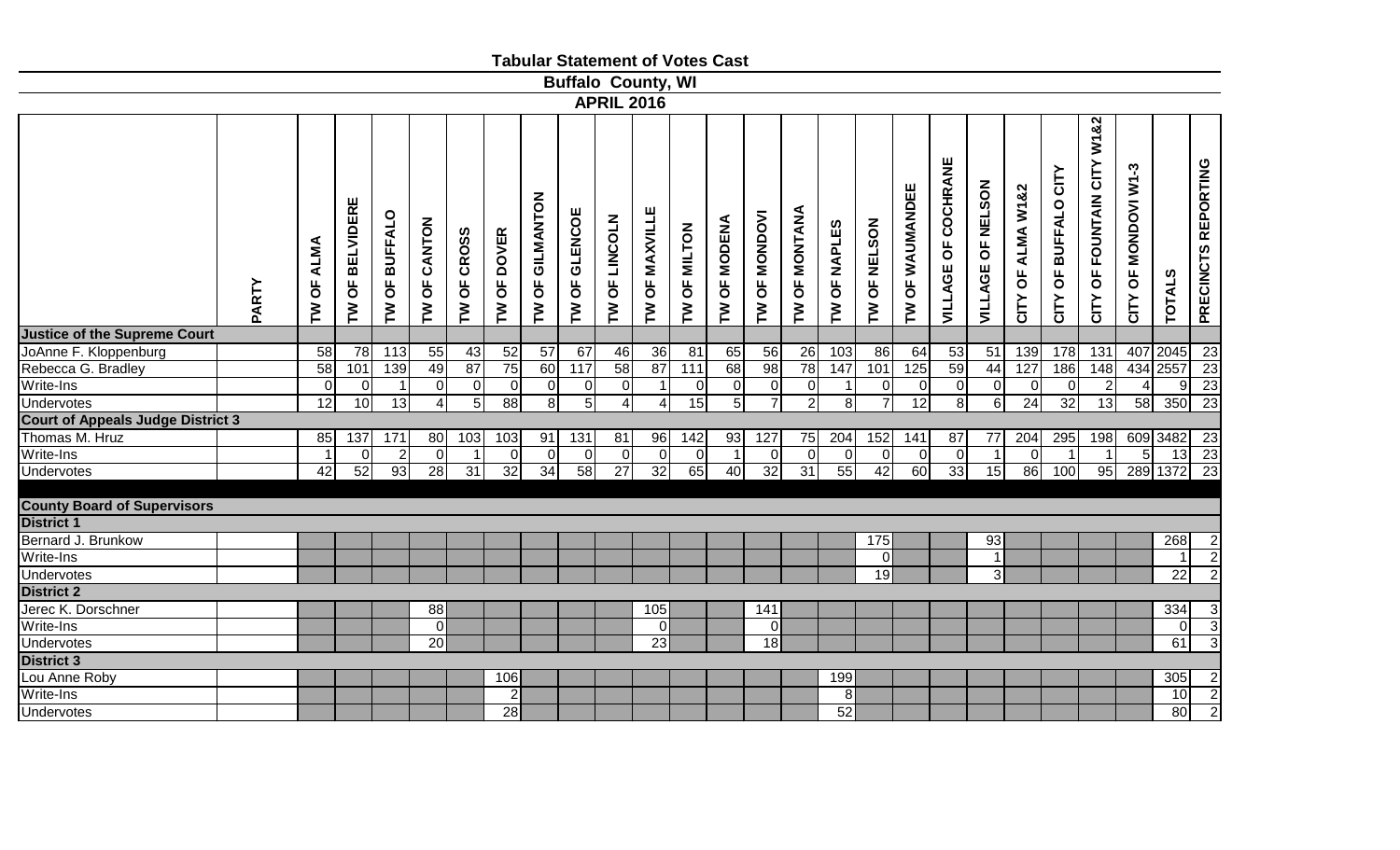|                                          |       |                                               |                                              |                                       |                  |                |                                                |                     |                                       | <b>Tabular Statement of Votes Cast</b> |                  |                               |                       |                                       |                            |                       |                                      |                   |                            |                             |                      |                         |                                                        |                                                        |                 |                     |
|------------------------------------------|-------|-----------------------------------------------|----------------------------------------------|---------------------------------------|------------------|----------------|------------------------------------------------|---------------------|---------------------------------------|----------------------------------------|------------------|-------------------------------|-----------------------|---------------------------------------|----------------------------|-----------------------|--------------------------------------|-------------------|----------------------------|-----------------------------|----------------------|-------------------------|--------------------------------------------------------|--------------------------------------------------------|-----------------|---------------------|
|                                          |       |                                               |                                              |                                       |                  |                |                                                |                     |                                       | <b>Buffalo County, WI</b>              |                  |                               |                       |                                       |                            |                       |                                      |                   |                            |                             |                      |                         |                                                        |                                                        |                 |                     |
|                                          |       |                                               |                                              |                                       |                  |                |                                                |                     |                                       | <b>APRIL 2016</b>                      |                  |                               |                       |                                       |                            |                       |                                      |                   |                            |                             |                      |                         |                                                        |                                                        |                 |                     |
|                                          | PARTY | <b>ALMA</b><br>$\overline{6}$<br>$\mathbf{r}$ | <b>BELVIDERE</b><br>$\overline{\sigma}$<br>≧ | <b>BUFFALO</b><br>$\overline{6}$<br>N | CANTON<br>Ъ<br>ξ | OF CROSS<br>ξ  | <b>DOVER</b><br>$\overline{6}$<br>$\mathbf{M}$ | GILMANTON<br>Ъ<br>ξ | <b>GLENCOE</b><br>$\overline{6}$<br>ξ | LINCOLN<br>$\overline{6}$<br>ξ         | OF MAXVILLE<br>ξ | OF MILTON<br>$\sum_{i=1}^{n}$ | <b>OF MODENA</b><br>ξ | <b>MONDOVI</b><br>$\overline{6}$<br>Σ | OF MONTANA<br>$\mathbf{M}$ | <b>OF NAPLES</b><br>ξ | <b>NELSON</b><br>$\overline{6}$<br>ξ | OF WAUMANDEE<br>ξ | <b>VILLAGE OF COCHRANE</b> | <b>OF NELSON</b><br>VILLAGE | OF ALMA W1&2<br>CITY | OF BUFFALO CITY<br>CITY | CITY W1&2<br><b>FOUNTAIN</b><br>$\overline{6}$<br>CITY | <b>MONDOVI W1-3</b><br>$\overline{\mathbf{5}}$<br>CITY | <b>TOTALS</b>   | PRECINCTS REPORTING |
| <b>Justice of the Supreme Court</b>      |       |                                               |                                              |                                       |                  |                |                                                |                     |                                       |                                        |                  |                               |                       |                                       |                            |                       |                                      |                   |                            |                             |                      |                         |                                                        |                                                        |                 |                     |
| JoAnne F. Kloppenburg                    |       | 58                                            | 78                                           | 113                                   | 55               | 43             | 52                                             | $\overline{57}$     | 67                                    | 46                                     | $\overline{36}$  | 81                            | 65                    | 56                                    | 26                         | 103                   | 86                                   | 64                | 53                         | 51                          | 139                  | 178                     | $\overline{131}$                                       | 407                                                    | 2045            | 23                  |
| Rebecca G. Bradley                       |       | 58                                            | 101                                          | 139                                   | 49               | 87             | 75                                             | 60                  | 117                                   | 58                                     | 87               | $\overline{111}$              | 68                    | 98                                    | 78                         | 147                   | 101                                  | 125               | 59                         | 44                          | 127                  | 186                     | 148                                                    |                                                        | 434 2557        | 23                  |
| Write-Ins                                |       | $\Omega$                                      | $\overline{0}$                               | $\overline{1}$                        | 0                | $\overline{0}$ | 0                                              | $\overline{0}$      | $\overline{O}$                        | 0                                      | $\mathbf{1}$     | $\Omega$                      | 0                     | $\mathbf 0$                           | $\overline{0}$             |                       | 0                                    | 0                 | $\overline{0}$             | $\overline{0}$              | $\overline{0}$       | $\overline{O}$          | $\overline{2}$                                         | $\vert$                                                | 9               | $\overline{23}$     |
| <b>Undervotes</b>                        |       | 12                                            | 10                                           | 13                                    | $\overline{4}$   | $\overline{5}$ | 88                                             | 8 <sup>°</sup>      | $5 \overline{1}$                      | $\boldsymbol{\varDelta}$               | $\overline{4}$   | 15                            | $\overline{5}$        | $\overline{7}$                        | $\overline{2}$             | $\overline{\infty}$   | $\overline{7}$                       | $\overline{12}$   | $\overline{8}$             | $\overline{6}$              | $\overline{24}$      | 32                      | 13                                                     | 58                                                     | 350             | $\overline{23}$     |
| <b>Court of Appeals Judge District 3</b> |       |                                               |                                              |                                       |                  |                |                                                |                     |                                       |                                        |                  |                               |                       |                                       |                            |                       |                                      |                   |                            |                             |                      |                         |                                                        |                                                        |                 |                     |
| Thomas M. Hruz                           |       | 85                                            | 137                                          | 171                                   | 80               | 103            | 103                                            | 91                  | 131                                   | 81                                     | 96               | 142                           | 93                    | 127                                   | 75                         | 204                   | 152                                  | 141               | $\overline{87}$            | 77                          | 204                  | 295                     | 198                                                    |                                                        | 609 3482 23     |                     |
| Write-Ins                                |       |                                               | $\overline{0}$                               | $\overline{2}$                        | - Ol             | $\mathbf 1$    | - 0 I                                          | $\Omega$            | $\overline{0}$                        | 0                                      | $\mathbf 0$      | $\overline{0}$                | $\overline{1}$        | $\mathbf 0$                           | $\Omega$                   | 0                     | $\overline{0}$                       | - Ol              | $\overline{0}$             | $\overline{1}$              | $\Omega$             | $\mathbf 1$             | $\overline{1}$                                         | 5 <sub>l</sub>                                         |                 | $13 \quad 23$       |
| <b>Undervotes</b>                        |       | 42                                            | 52                                           | 93                                    | $\overline{28}$  | 31             | 32                                             | 34                  | 58                                    | $\overline{27}$                        | 32               | 65                            | 40                    | 32                                    | $\overline{31}$            | 55                    | 42                                   | $\overline{60}$   | 33                         | 15                          | 86                   | 100                     | 95                                                     |                                                        | 289 1372 23     |                     |
|                                          |       |                                               |                                              |                                       |                  |                |                                                |                     |                                       |                                        |                  |                               |                       |                                       |                            |                       |                                      |                   |                            |                             |                      |                         |                                                        |                                                        |                 |                     |
| <b>County Board of Supervisors</b>       |       |                                               |                                              |                                       |                  |                |                                                |                     |                                       |                                        |                  |                               |                       |                                       |                            |                       |                                      |                   |                            |                             |                      |                         |                                                        |                                                        |                 |                     |
| <b>District 1</b>                        |       |                                               |                                              |                                       |                  |                |                                                |                     |                                       |                                        |                  |                               |                       |                                       |                            |                       |                                      |                   |                            |                             |                      |                         |                                                        |                                                        |                 |                     |
| Bernard J. Brunkow                       |       |                                               |                                              |                                       |                  |                |                                                |                     |                                       |                                        |                  |                               |                       |                                       |                            |                       | 175                                  |                   |                            | 93                          |                      |                         |                                                        |                                                        | 268             | 2                   |
| Write-Ins                                |       |                                               |                                              |                                       |                  |                |                                                |                     |                                       |                                        |                  |                               |                       |                                       |                            |                       | $\overline{0}$                       |                   |                            | $\mathbf{1}$                |                      |                         |                                                        |                                                        |                 | $\overline{2}$      |
| <b>Undervotes</b>                        |       |                                               |                                              |                                       |                  |                |                                                |                     |                                       |                                        |                  |                               |                       |                                       |                            |                       | 19                                   |                   |                            | 3                           |                      |                         |                                                        |                                                        | $\overline{22}$ | $\overline{2}$      |
| District 2                               |       |                                               |                                              |                                       |                  |                |                                                |                     |                                       |                                        |                  |                               |                       |                                       |                            |                       |                                      |                   |                            |                             |                      |                         |                                                        |                                                        |                 |                     |
| Jerec K. Dorschner                       |       |                                               |                                              |                                       | 88               |                |                                                |                     |                                       |                                        | 105              |                               |                       | 141                                   |                            |                       |                                      |                   |                            |                             |                      |                         |                                                        |                                                        | 334             | 3                   |
| Write-Ins                                |       |                                               |                                              |                                       | $\Omega$         |                |                                                |                     |                                       |                                        | $\mathbf 0$      |                               |                       | $\overline{0}$                        |                            |                       |                                      |                   |                            |                             |                      |                         |                                                        |                                                        | $\overline{0}$  | $\mathbf{3}$        |
| <b>Undervotes</b>                        |       |                                               |                                              |                                       | 20               |                |                                                |                     |                                       |                                        | 23               |                               |                       | 18                                    |                            |                       |                                      |                   |                            |                             |                      |                         |                                                        |                                                        | 61              | 3                   |
| District 3                               |       |                                               |                                              |                                       |                  |                |                                                |                     |                                       |                                        |                  |                               |                       |                                       |                            |                       |                                      |                   |                            |                             |                      |                         |                                                        |                                                        |                 |                     |
| Lou Anne Roby                            |       |                                               |                                              |                                       |                  |                | 106                                            |                     |                                       |                                        |                  |                               |                       |                                       |                            | 199                   |                                      |                   |                            |                             |                      |                         |                                                        |                                                        | 305             | $\overline{2}$      |
| Write-Ins                                |       |                                               |                                              |                                       |                  |                | $\overline{2}$                                 |                     |                                       |                                        |                  |                               |                       |                                       |                            | 8                     |                                      |                   |                            |                             |                      |                         |                                                        |                                                        | 10              | $\mathbf{2}$        |
| <b>Undervotes</b>                        |       |                                               |                                              |                                       |                  |                | $\overline{28}$                                |                     |                                       |                                        |                  |                               |                       |                                       |                            | 52                    |                                      |                   |                            |                             |                      |                         |                                                        |                                                        | 80              | $\overline{2}$      |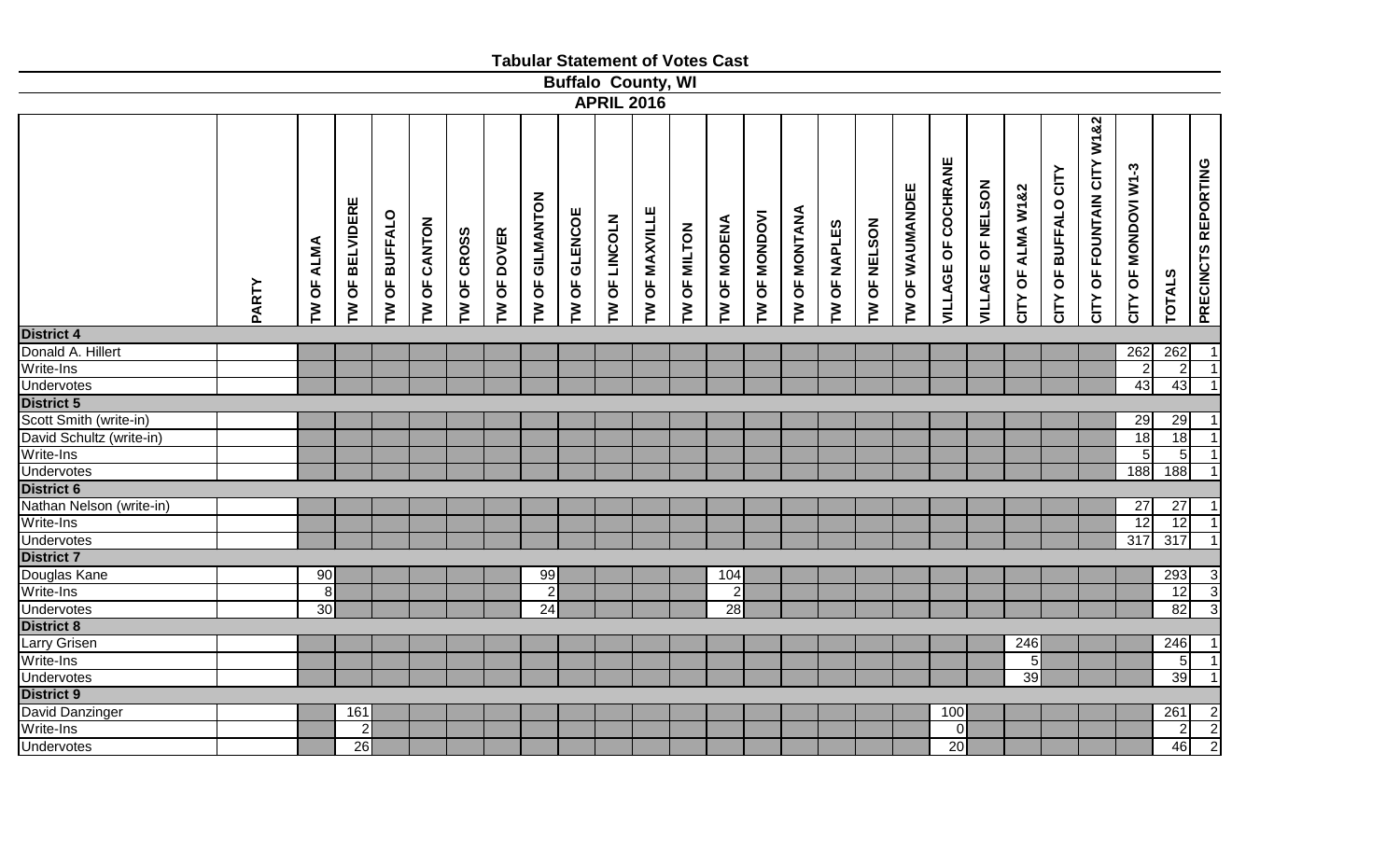|                          |            |                                                                                  |                               |                    |               |                        |                      |                           |                |              | <b>Tabular Statement of Votes Cast</b> |                        |                        |                |                     |                 |                            |                   |                   |                      |                                     |                      |                  |                     |
|--------------------------|------------|----------------------------------------------------------------------------------|-------------------------------|--------------------|---------------|------------------------|----------------------|---------------------------|----------------|--------------|----------------------------------------|------------------------|------------------------|----------------|---------------------|-----------------|----------------------------|-------------------|-------------------|----------------------|-------------------------------------|----------------------|------------------|---------------------|
|                          |            |                                                                                  |                               |                    |               |                        |                      | <b>Buffalo County, WI</b> |                |              |                                        |                        |                        |                |                     |                 |                            |                   |                   |                      |                                     |                      |                  |                     |
|                          |            |                                                                                  |                               |                    |               |                        |                      | <b>APRIL 2016</b>         |                |              |                                        |                        |                        |                |                     |                 |                            |                   |                   |                      |                                     |                      |                  |                     |
| PARTY                    | TW OF ALMA | <b>BELVIDERE</b><br><b>BUFFALO</b><br>$\overline{5}$<br>$\overline{5}$<br>M<br>ξ | OF CANTON<br>$\sum_{i=1}^{n}$ | OF CROSS<br>$\geq$ | OF DOVER<br>M | OF GILMANTON<br>$\geq$ | OF GLENCOE<br>$\geq$ | OF LINCOLN<br>M           | TW OF MAXVILLE | TW OF MILTON | OF MODENA<br>$\mathbf{r}$              | <b>OF MONDOVI</b><br>M | <b>OF MONTANA</b><br>ξ | OF NAPLES<br>ξ | <b>TW OF NELSON</b> | TW OF WAUMANDEE | <b>VILLAGE OF COCHRANE</b> | VILLAGE OF NELSON | CITY OF ALMA W1&2 | CITY OF BUFFALO CITY | W1&2<br>CITY<br>OF FOUNTAIN<br>CITY | CITY OF MONDOVI W1-3 | <b>TOTALS</b>    | PRECINCTS REPORTING |
| <b>District 4</b>        |            |                                                                                  |                               |                    |               |                        |                      |                           |                |              |                                        |                        |                        |                |                     |                 |                            |                   |                   |                      |                                     |                      |                  |                     |
| Donald A. Hillert        |            |                                                                                  |                               |                    |               |                        |                      |                           |                |              |                                        |                        |                        |                |                     |                 |                            |                   |                   |                      |                                     | 262                  | 262              | $\mathbf 1$         |
| Write-Ins                |            |                                                                                  |                               |                    |               |                        |                      |                           |                |              |                                        |                        |                        |                |                     |                 |                            |                   |                   |                      |                                     |                      | $\overline{2}$   | $\mathbf{1}$        |
| <b>Undervotes</b>        |            |                                                                                  |                               |                    |               |                        |                      |                           |                |              |                                        |                        |                        |                |                     |                 |                            |                   |                   |                      |                                     | 43                   | 43               | 1                   |
| <b>District 5</b>        |            |                                                                                  |                               |                    |               |                        |                      |                           |                |              |                                        |                        |                        |                |                     |                 |                            |                   |                   |                      |                                     |                      |                  |                     |
| Scott Smith (write-in)   |            |                                                                                  |                               |                    |               |                        |                      |                           |                |              |                                        |                        |                        |                |                     |                 |                            |                   |                   |                      |                                     | 29                   | 29               |                     |
| David Schultz (write-in) |            |                                                                                  |                               |                    |               |                        |                      |                           |                |              |                                        |                        |                        |                |                     |                 |                            |                   |                   |                      |                                     | 18                   | 18               |                     |
| Write-Ins                |            |                                                                                  |                               |                    |               |                        |                      |                           |                |              |                                        |                        |                        |                |                     |                 |                            |                   |                   |                      |                                     | 5                    | $\overline{5}$   | $\mathbf{1}$        |
| <b>Undervotes</b>        |            |                                                                                  |                               |                    |               |                        |                      |                           |                |              |                                        |                        |                        |                |                     |                 |                            |                   |                   |                      |                                     | 188                  | $\overline{188}$ | $\mathbf{1}$        |
| District 6               |            |                                                                                  |                               |                    |               |                        |                      |                           |                |              |                                        |                        |                        |                |                     |                 |                            |                   |                   |                      |                                     |                      |                  |                     |
| Nathan Nelson (write-in) |            |                                                                                  |                               |                    |               |                        |                      |                           |                |              |                                        |                        |                        |                |                     |                 |                            |                   |                   |                      |                                     | $\overline{27}$      | $\overline{27}$  |                     |
| Write-Ins                |            |                                                                                  |                               |                    |               |                        |                      |                           |                |              |                                        |                        |                        |                |                     |                 |                            |                   |                   |                      |                                     | $\overline{12}$      | $\overline{12}$  |                     |
| Undervotes               |            |                                                                                  |                               |                    |               |                        |                      |                           |                |              |                                        |                        |                        |                |                     |                 |                            |                   |                   |                      |                                     | $\overline{317}$     | 317              |                     |
| <b>District 7</b>        |            |                                                                                  |                               |                    |               |                        |                      |                           |                |              |                                        |                        |                        |                |                     |                 |                            |                   |                   |                      |                                     |                      |                  |                     |
| Douglas Kane             | 90         |                                                                                  |                               |                    |               | 99                     |                      |                           |                |              | 104                                    |                        |                        |                |                     |                 |                            |                   |                   |                      |                                     |                      | 293              |                     |
| Write-Ins                | 8          |                                                                                  |                               |                    |               | $\overline{2}$         |                      |                           |                |              | $\overline{2}$                         |                        |                        |                |                     |                 |                            |                   |                   |                      |                                     |                      | 12               |                     |
| <b>Undervotes</b>        | 30         |                                                                                  |                               |                    |               | $\overline{24}$        |                      |                           |                |              | 28                                     |                        |                        |                |                     |                 |                            |                   |                   |                      |                                     |                      | 82               | $\frac{3}{3}$       |
| <b>District 8</b>        |            |                                                                                  |                               |                    |               |                        |                      |                           |                |              |                                        |                        |                        |                |                     |                 |                            |                   |                   |                      |                                     |                      |                  |                     |
| Larry Grisen             |            |                                                                                  |                               |                    |               |                        |                      |                           |                |              |                                        |                        |                        |                |                     |                 |                            |                   | 246               |                      |                                     |                      | 246              |                     |
| Write-Ins                |            |                                                                                  |                               |                    |               |                        |                      |                           |                |              |                                        |                        |                        |                |                     |                 |                            |                   | 5 <sub>5</sub>    |                      |                                     |                      | $\overline{5}$   | $\mathbf{1}$        |
| <b>Undervotes</b>        |            |                                                                                  |                               |                    |               |                        |                      |                           |                |              |                                        |                        |                        |                |                     |                 |                            |                   | 39                |                      |                                     |                      | 39               | $\mathbf 1$         |
| <b>District 9</b>        |            |                                                                                  |                               |                    |               |                        |                      |                           |                |              |                                        |                        |                        |                |                     |                 |                            |                   |                   |                      |                                     |                      |                  |                     |
| David Danzinger          |            | 161                                                                              |                               |                    |               |                        |                      |                           |                |              |                                        |                        |                        |                |                     |                 | 100                        |                   |                   |                      |                                     |                      | 261              | $\overline{c}$      |
| Write-Ins                |            | $\overline{2}$                                                                   |                               |                    |               |                        |                      |                           |                |              |                                        |                        |                        |                |                     |                 | $\overline{0}$             |                   |                   |                      |                                     |                      | $\sqrt{2}$       | $\frac{2}{2}$       |
| <b>Undervotes</b>        |            | 26                                                                               |                               |                    |               |                        |                      |                           |                |              |                                        |                        |                        |                |                     |                 | 20                         |                   |                   |                      |                                     |                      | 46               |                     |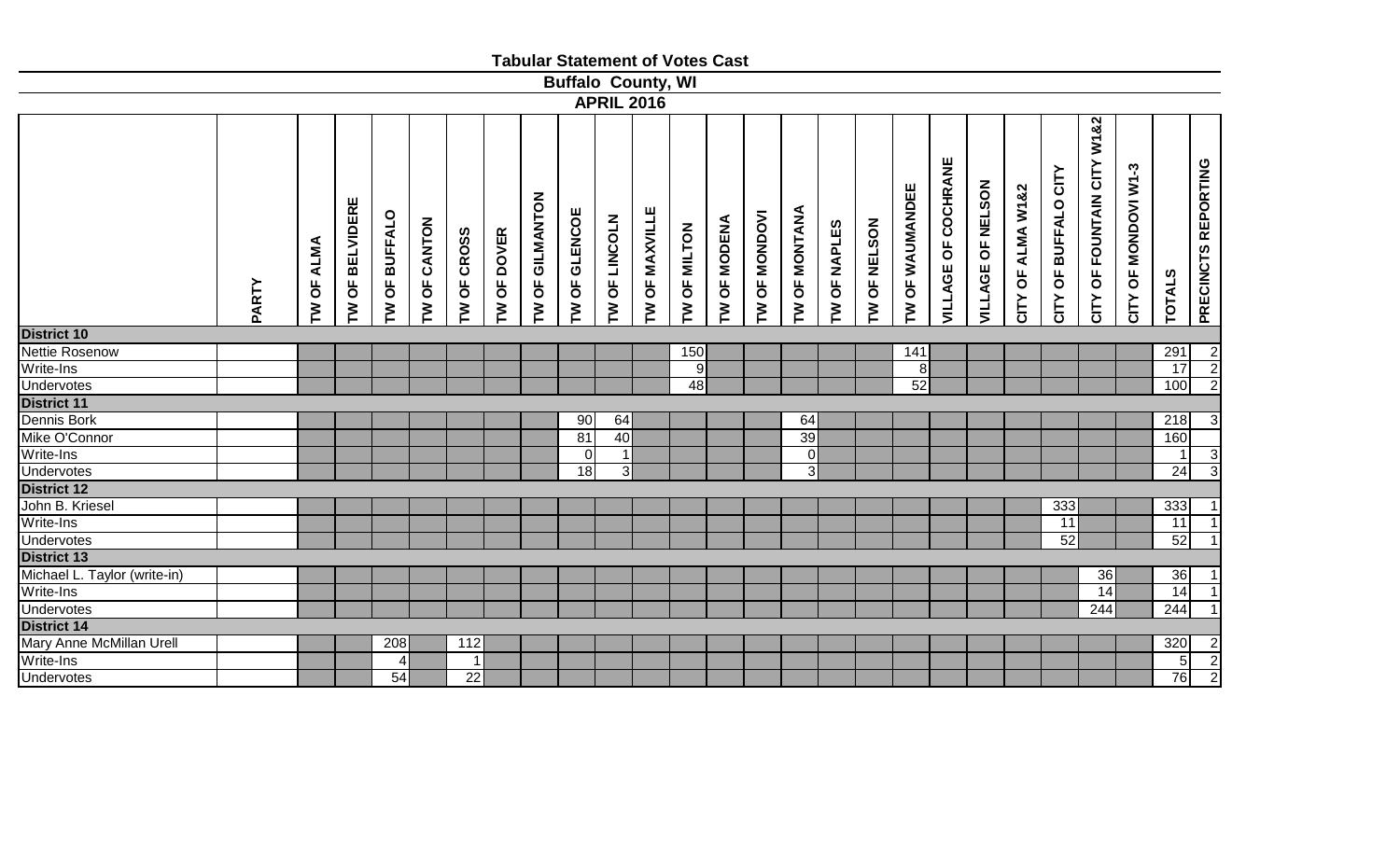|                              |       |                      |                                                  |                                                |              |               |                                     |                 |                           |                   |                | <b>Tabular Statement of Votes Cast</b> |                |                      |                |                |              |                 |                        |                   |                   |                      |                                  |                      |                |                     |
|------------------------------|-------|----------------------|--------------------------------------------------|------------------------------------------------|--------------|---------------|-------------------------------------|-----------------|---------------------------|-------------------|----------------|----------------------------------------|----------------|----------------------|----------------|----------------|--------------|-----------------|------------------------|-------------------|-------------------|----------------------|----------------------------------|----------------------|----------------|---------------------|
|                              |       |                      |                                                  |                                                |              |               |                                     |                 | <b>Buffalo County, WI</b> |                   |                |                                        |                |                      |                |                |              |                 |                        |                   |                   |                      |                                  |                      |                |                     |
|                              |       |                      |                                                  |                                                |              |               |                                     |                 |                           | <b>APRIL 2016</b> |                |                                        |                |                      |                |                |              |                 |                        |                   |                   |                      |                                  |                      |                |                     |
|                              | PARTY | <b>ALMA</b><br>TW OF | <b>BELVIDERE</b><br>$\overline{\mathsf{b}}$<br>ξ | <b>BUFFALO</b><br>$\overline{\mathsf{b}}$<br>Σ | TW OF CANTON | OF CROSS<br>ξ | <b>DOVER</b><br>$\overline{5}$<br>Σ | TW OF GILMANTON | OF GLENCOE<br>Σ           | OF LINCOLN<br>M   | TW OF MAXVILLE | TW OF MILTON                           | OF MODENA<br>ξ | <b>TW OF MONDOVI</b> | TW OF MONTANA  | OF NAPLES<br>ξ | TW OF NELSON | TW OF WAUMANDEE | OF COCHRANE<br>VILLAGE | VILLAGE OF NELSON | CITY OF ALMA W1&2 | CITY OF BUFFALO CITY | W1&2<br>OF FOUNTAIN CITY<br>CITY | CITY OF MONDOVI W1-3 | <b>TOTALS</b>  | PRECINCTS REPORTING |
| <b>District 10</b>           |       |                      |                                                  |                                                |              |               |                                     |                 |                           |                   |                |                                        |                |                      |                |                |              |                 |                        |                   |                   |                      |                                  |                      |                |                     |
| Nettie Rosenow               |       |                      |                                                  |                                                |              |               |                                     |                 |                           |                   |                | 150                                    |                |                      |                |                |              | 141             |                        |                   |                   |                      |                                  |                      | 291            |                     |
| Write-Ins                    |       |                      |                                                  |                                                |              |               |                                     |                 |                           |                   |                | 9                                      |                |                      |                |                |              | 8 <sup>1</sup>  |                        |                   |                   |                      |                                  |                      | 17             | $\frac{2}{2}$       |
| Undervotes                   |       |                      |                                                  |                                                |              |               |                                     |                 |                           |                   |                | 48                                     |                |                      |                |                |              | 52              |                        |                   |                   |                      |                                  |                      | 100            |                     |
| <b>District 11</b>           |       |                      |                                                  |                                                |              |               |                                     |                 |                           |                   |                |                                        |                |                      |                |                |              |                 |                        |                   |                   |                      |                                  |                      |                |                     |
| Dennis Bork                  |       |                      |                                                  |                                                |              |               |                                     |                 | 90                        | 64                |                |                                        |                |                      | 64             |                |              |                 |                        |                   |                   |                      |                                  |                      | 218            | $\overline{3}$      |
| Mike O'Connor                |       |                      |                                                  |                                                |              |               |                                     |                 | 81                        | 40                |                |                                        |                |                      | 39             |                |              |                 |                        |                   |                   |                      |                                  |                      | 160            |                     |
| Write-Ins                    |       |                      |                                                  |                                                |              |               |                                     |                 | $\overline{0}$            | $\overline{1}$    |                |                                        |                |                      | $\overline{0}$ |                |              |                 |                        |                   |                   |                      |                                  |                      | $\mathbf{1}$   | $\overline{3}$      |
| <b>Undervotes</b>            |       |                      |                                                  |                                                |              |               |                                     |                 | 18                        | $\overline{3}$    |                |                                        |                |                      | $\overline{3}$ |                |              |                 |                        |                   |                   |                      |                                  |                      | 24             | $\overline{3}$      |
| <b>District 12</b>           |       |                      |                                                  |                                                |              |               |                                     |                 |                           |                   |                |                                        |                |                      |                |                |              |                 |                        |                   |                   |                      |                                  |                      |                |                     |
| John B. Kriesel              |       |                      |                                                  |                                                |              |               |                                     |                 |                           |                   |                |                                        |                |                      |                |                |              |                 |                        |                   |                   | $\overline{333}$     |                                  |                      | 333            | $\mathbf{1}$        |
| Write-Ins                    |       |                      |                                                  |                                                |              |               |                                     |                 |                           |                   |                |                                        |                |                      |                |                |              |                 |                        |                   |                   | 11                   |                                  |                      | 11             | $\overline{1}$      |
| <b>Undervotes</b>            |       |                      |                                                  |                                                |              |               |                                     |                 |                           |                   |                |                                        |                |                      |                |                |              |                 |                        |                   |                   | 52                   |                                  |                      | 52             | $\mathbf{1}$        |
| <b>District 13</b>           |       |                      |                                                  |                                                |              |               |                                     |                 |                           |                   |                |                                        |                |                      |                |                |              |                 |                        |                   |                   |                      |                                  |                      |                |                     |
| Michael L. Taylor (write-in) |       |                      |                                                  |                                                |              |               |                                     |                 |                           |                   |                |                                        |                |                      |                |                |              |                 |                        |                   |                   |                      | 36                               |                      | 36             | $\mathbf{1}$        |
| Write-Ins                    |       |                      |                                                  |                                                |              |               |                                     |                 |                           |                   |                |                                        |                |                      |                |                |              |                 |                        |                   |                   |                      | 14                               |                      | 14             | $\overline{1}$      |
| <b>Undervotes</b>            |       |                      |                                                  |                                                |              |               |                                     |                 |                           |                   |                |                                        |                |                      |                |                |              |                 |                        |                   |                   |                      | 244                              |                      | 244            | $\overline{1}$      |
| District 14                  |       |                      |                                                  |                                                |              |               |                                     |                 |                           |                   |                |                                        |                |                      |                |                |              |                 |                        |                   |                   |                      |                                  |                      |                |                     |
| Mary Anne McMillan Urell     |       |                      |                                                  | 208                                            |              | 112           |                                     |                 |                           |                   |                |                                        |                |                      |                |                |              |                 |                        |                   |                   |                      |                                  |                      | 320            |                     |
| Write-Ins                    |       |                      |                                                  | 4                                              |              | 1             |                                     |                 |                           |                   |                |                                        |                |                      |                |                |              |                 |                        |                   |                   |                      |                                  |                      | 5 <sub>5</sub> | $\frac{2}{2}$       |
| <b>Undervotes</b>            |       |                      |                                                  | 54                                             |              | 22            |                                     |                 |                           |                   |                |                                        |                |                      |                |                |              |                 |                        |                   |                   |                      |                                  |                      | 76             |                     |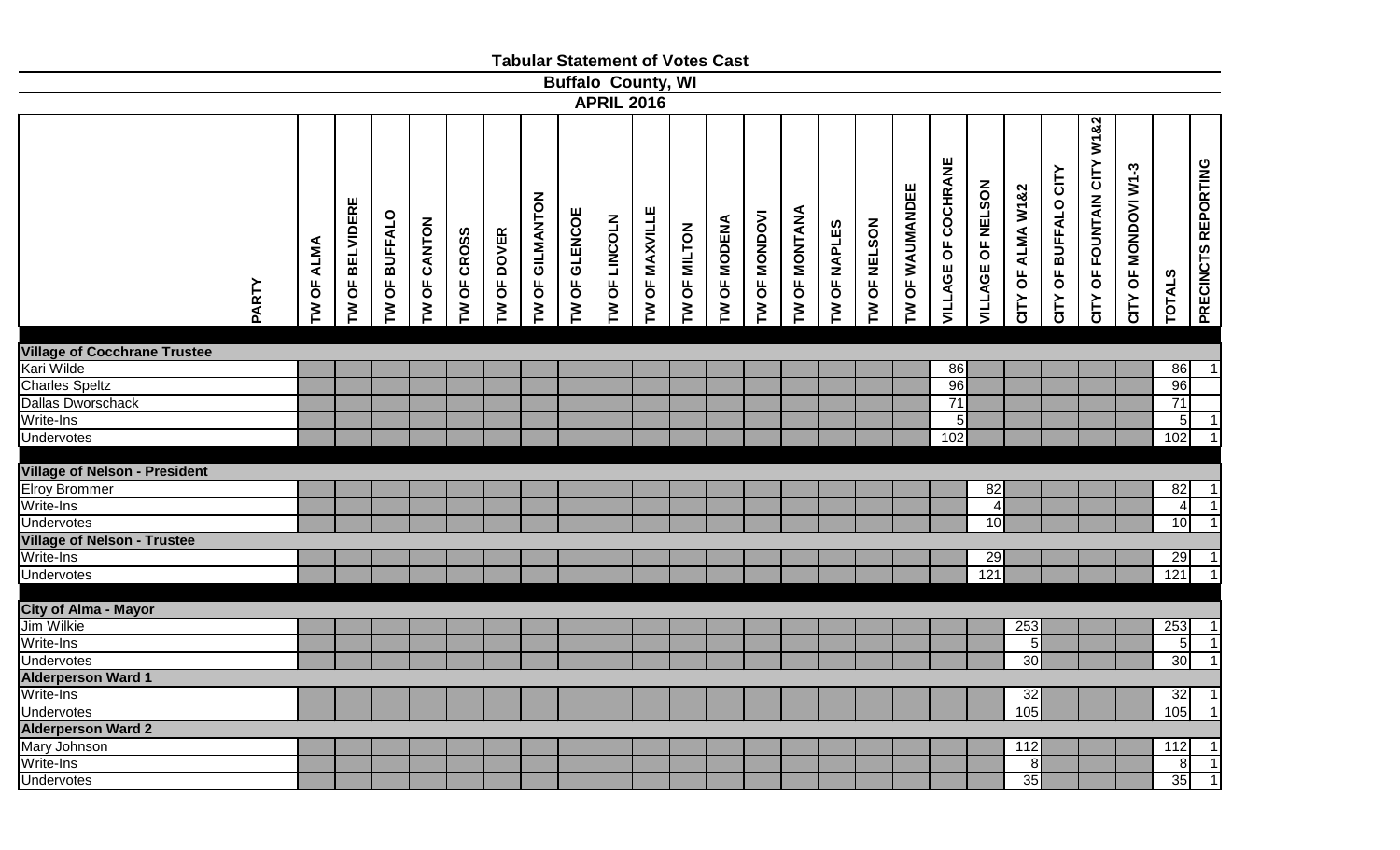|                                      |       |                     |                                         |                                                |              |               |                                                         |                                   |                 | <b>Tabular Statement of Votes Cast</b> |                |              |                       |                        |                                        |                |                |                 |                     |                   |                   |                                                           |                               |                      |                |                     |
|--------------------------------------|-------|---------------------|-----------------------------------------|------------------------------------------------|--------------|---------------|---------------------------------------------------------|-----------------------------------|-----------------|----------------------------------------|----------------|--------------|-----------------------|------------------------|----------------------------------------|----------------|----------------|-----------------|---------------------|-------------------|-------------------|-----------------------------------------------------------|-------------------------------|----------------------|----------------|---------------------|
|                                      |       |                     |                                         |                                                |              |               |                                                         |                                   |                 | <b>Buffalo County, WI</b>              |                |              |                       |                        |                                        |                |                |                 |                     |                   |                   |                                                           |                               |                      |                |                     |
|                                      |       |                     |                                         |                                                |              |               |                                                         |                                   |                 | <b>APRIL 2016</b>                      |                |              |                       |                        |                                        |                |                |                 |                     |                   |                   |                                                           |                               |                      |                |                     |
|                                      | PARTY | <b>OF ALMA</b><br>M | <b>BELVIDERE</b><br>$\overline{6}$<br>ξ | <b>BUFFALO</b><br>$\overline{\mathsf{b}}$<br>Σ | TW OF CANTON | OF CROSS<br>ξ | <b>DOVER</b><br>$\overline{\sigma}$<br>$\sum_{i=1}^{n}$ | OF GILMANTON<br>$\mathbf{\Sigma}$ | OF GLENCOE<br>ξ | LINCOLN<br>$\overline{6}$<br>M         | TW OF MAXVILLE | TW OF MILTON | <b>OF MODENA</b><br>ξ | <b>OF MONDOVI</b><br>ξ | <b>OF MONTANA</b><br>$\mathsf{\Sigma}$ | OF NAPLES<br>ξ | OF NELSON<br>ξ | TW OF WAUMANDEE | VILLAGE OF COCHRANE | VILLAGE OF NELSON | CITY OF ALMA W1&2 | CITY<br><b>BUFFALO</b><br>$\overline{\mathsf{b}}$<br>CITY | OF FOUNTAIN CITY W1&2<br>CITY | CITY OF MONDOVI W1-3 | <b>TOTALS</b>  | PRECINCTS REPORTING |
|                                      |       |                     |                                         |                                                |              |               |                                                         |                                   |                 |                                        |                |              |                       |                        |                                        |                |                |                 |                     |                   |                   |                                                           |                               |                      |                |                     |
| <b>Village of Cocchrane Trustee</b>  |       |                     |                                         |                                                |              |               |                                                         |                                   |                 |                                        |                |              |                       |                        |                                        |                |                |                 |                     |                   |                   |                                                           |                               |                      |                |                     |
| Kari Wilde                           |       |                     |                                         |                                                |              |               |                                                         |                                   |                 |                                        |                |              |                       |                        |                                        |                |                |                 | 86                  |                   |                   |                                                           |                               |                      | 86             | $\mathbf{1}$        |
| <b>Charles Speltz</b>                |       |                     |                                         |                                                |              |               |                                                         |                                   |                 |                                        |                |              |                       |                        |                                        |                |                |                 | 96                  |                   |                   |                                                           |                               |                      | 96             |                     |
| Dallas Dworschack                    |       |                     |                                         |                                                |              |               |                                                         |                                   |                 |                                        |                |              |                       |                        |                                        |                |                |                 | 71                  |                   |                   |                                                           |                               |                      | 71             |                     |
| Write-Ins                            |       |                     |                                         |                                                |              |               |                                                         |                                   |                 |                                        |                |              |                       |                        |                                        |                |                |                 | $\overline{5}$      |                   |                   |                                                           |                               |                      | 5              | $\overline{1}$      |
| <b>Undervotes</b>                    |       |                     |                                         |                                                |              |               |                                                         |                                   |                 |                                        |                |              |                       |                        |                                        |                |                |                 | 102                 |                   |                   |                                                           |                               |                      | 102            | $\overline{1}$      |
|                                      |       |                     |                                         |                                                |              |               |                                                         |                                   |                 |                                        |                |              |                       |                        |                                        |                |                |                 |                     |                   |                   |                                                           |                               |                      |                |                     |
| <b>Village of Nelson - President</b> |       |                     |                                         |                                                |              |               |                                                         |                                   |                 |                                        |                |              |                       |                        |                                        |                |                |                 |                     |                   |                   |                                                           |                               |                      |                |                     |
| <b>Elroy Brommer</b>                 |       |                     |                                         |                                                |              |               |                                                         |                                   |                 |                                        |                |              |                       |                        |                                        |                |                |                 |                     | 82                |                   |                                                           |                               |                      | 82             | $\mathbf{1}$        |
| Write-Ins                            |       |                     |                                         |                                                |              |               |                                                         |                                   |                 |                                        |                |              |                       |                        |                                        |                |                |                 |                     | $\overline{4}$    |                   |                                                           |                               |                      | $\overline{4}$ | $\overline{1}$      |
| <b>Undervotes</b>                    |       |                     |                                         |                                                |              |               |                                                         |                                   |                 |                                        |                |              |                       |                        |                                        |                |                |                 |                     | 10                |                   |                                                           |                               |                      | 10             | $\overline{1}$      |
| <b>Village of Nelson - Trustee</b>   |       |                     |                                         |                                                |              |               |                                                         |                                   |                 |                                        |                |              |                       |                        |                                        |                |                |                 |                     |                   |                   |                                                           |                               |                      |                |                     |
| Write-Ins                            |       |                     |                                         |                                                |              |               |                                                         |                                   |                 |                                        |                |              |                       |                        |                                        |                |                |                 |                     | 29                |                   |                                                           |                               |                      | 29             | $\vert$             |
| <b>Undervotes</b>                    |       |                     |                                         |                                                |              |               |                                                         |                                   |                 |                                        |                |              |                       |                        |                                        |                |                |                 |                     | $121$             |                   |                                                           |                               |                      | $121$          | $\overline{1}$      |
|                                      |       |                     |                                         |                                                |              |               |                                                         |                                   |                 |                                        |                |              |                       |                        |                                        |                |                |                 |                     |                   |                   |                                                           |                               |                      |                |                     |
| <b>City of Alma - Mayor</b>          |       |                     |                                         |                                                |              |               |                                                         |                                   |                 |                                        |                |              |                       |                        |                                        |                |                |                 |                     |                   |                   |                                                           |                               |                      |                |                     |
| Jim Wilkie                           |       |                     |                                         |                                                |              |               |                                                         |                                   |                 |                                        |                |              |                       |                        |                                        |                |                |                 |                     |                   | 253               |                                                           |                               |                      | 253            | $\vert$ 1           |
| Write-Ins                            |       |                     |                                         |                                                |              |               |                                                         |                                   |                 |                                        |                |              |                       |                        |                                        |                |                |                 |                     |                   | 5 <sub>l</sub>    |                                                           |                               |                      | 5              | $\overline{1}$      |
| <b>Undervotes</b>                    |       |                     |                                         |                                                |              |               |                                                         |                                   |                 |                                        |                |              |                       |                        |                                        |                |                |                 |                     |                   | 30                |                                                           |                               |                      | 30             | $\overline{1}$      |
| <b>Alderperson Ward 1</b>            |       |                     |                                         |                                                |              |               |                                                         |                                   |                 |                                        |                |              |                       |                        |                                        |                |                |                 |                     |                   |                   |                                                           |                               |                      |                |                     |
| Write-Ins                            |       |                     |                                         |                                                |              |               |                                                         |                                   |                 |                                        |                |              |                       |                        |                                        |                |                |                 |                     |                   | 32                |                                                           |                               |                      | 32             | $\overline{1}$      |
| <b>Undervotes</b>                    |       |                     |                                         |                                                |              |               |                                                         |                                   |                 |                                        |                |              |                       |                        |                                        |                |                |                 |                     |                   | 105               |                                                           |                               |                      | 105            | $\overline{1}$      |
| <b>Alderperson Ward 2</b>            |       |                     |                                         |                                                |              |               |                                                         |                                   |                 |                                        |                |              |                       |                        |                                        |                |                |                 |                     |                   |                   |                                                           |                               |                      |                |                     |
| <b>Mary Johnson</b>                  |       |                     |                                         |                                                |              |               |                                                         |                                   |                 |                                        |                |              |                       |                        |                                        |                |                |                 |                     |                   | 112               |                                                           |                               |                      | 112            | $\mathbf{1}$        |
| Write-Ins                            |       |                     |                                         |                                                |              |               |                                                         |                                   |                 |                                        |                |              |                       |                        |                                        |                |                |                 |                     |                   | 8 <sup>1</sup>    |                                                           |                               |                      | 8 <sup>1</sup> | 1                   |
| <b>Undervotes</b>                    |       |                     |                                         |                                                |              |               |                                                         |                                   |                 |                                        |                |              |                       |                        |                                        |                |                |                 |                     |                   | 35                |                                                           |                               |                      | 35             | $\vert$ 1           |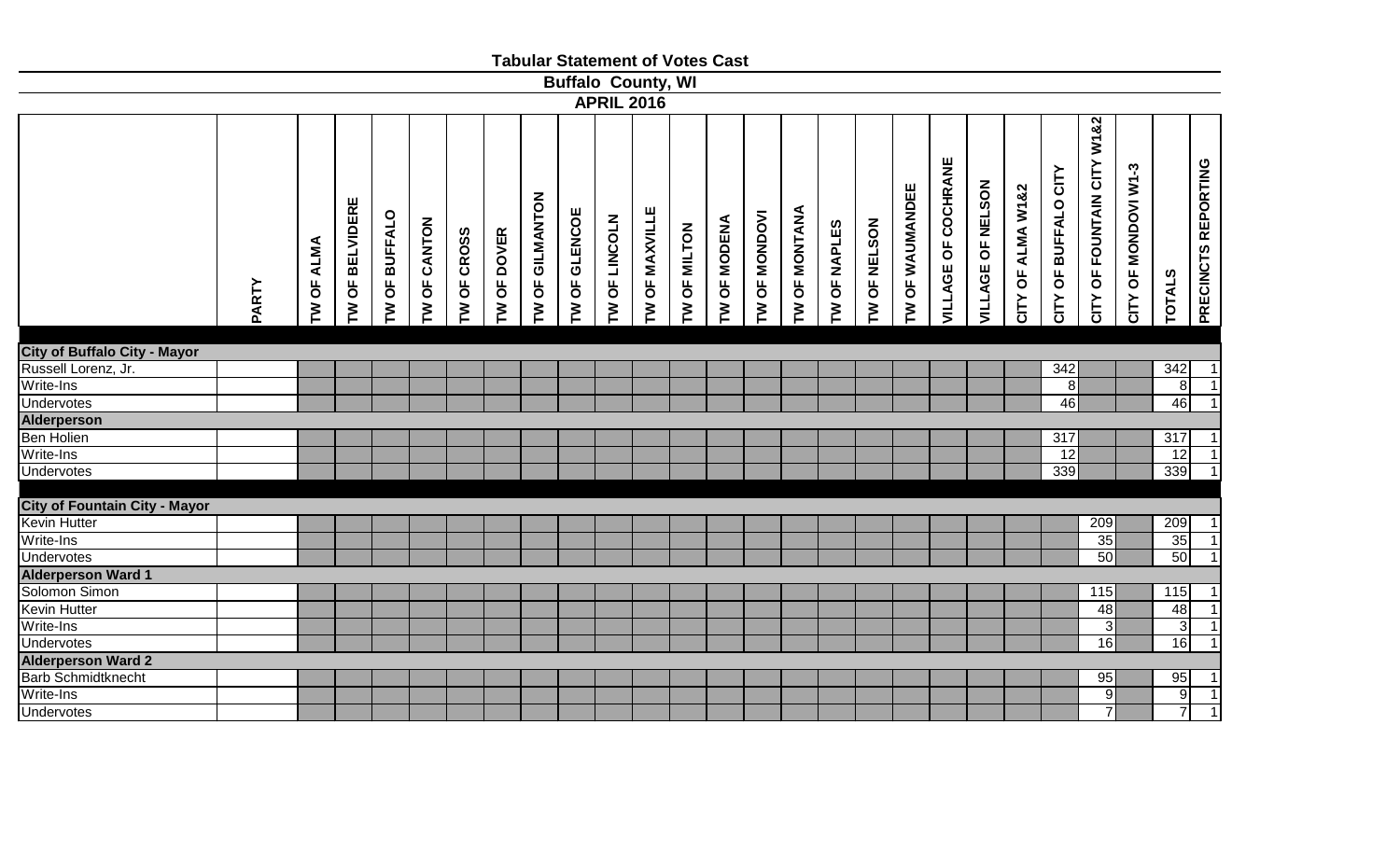|                                      |       |                      |                   |                                       |              |             |               |                 |                      | <b>Tabular Statement of Votes Cast</b> |                |              |                               |                 |                             |                               |                     |                 |                            |                   |                   |                         |                                                           |                      |                  |                     |
|--------------------------------------|-------|----------------------|-------------------|---------------------------------------|--------------|-------------|---------------|-----------------|----------------------|----------------------------------------|----------------|--------------|-------------------------------|-----------------|-----------------------------|-------------------------------|---------------------|-----------------|----------------------------|-------------------|-------------------|-------------------------|-----------------------------------------------------------|----------------------|------------------|---------------------|
|                                      |       |                      |                   |                                       |              |             |               |                 |                      | <b>Buffalo County, WI</b>              |                |              |                               |                 |                             |                               |                     |                 |                            |                   |                   |                         |                                                           |                      |                  |                     |
|                                      |       |                      |                   |                                       |              |             |               |                 |                      | <b>APRIL 2016</b>                      |                |              |                               |                 |                             |                               |                     |                 |                            |                   |                   |                         |                                                           |                      |                  |                     |
|                                      | PARTY | <b>ALMA</b><br>TW OF | OF BELVIDERE<br>ξ | <b>BUFFALO</b><br>$\overline{6}$<br>ξ | TW OF CANTON | TW OF CROSS | OF DOVER<br>ξ | TW OF GILMANTON | <b>IW OF GLENCOE</b> | OF LINCOLN<br>ξ                        | TW OF MAXVILLE | TW OF MILTON | OF MODENA<br>$\sum_{i=1}^{n}$ | OF MONDOVI<br>ξ | <b>OF MONTANA</b><br>$\geq$ | OF NAPLES<br>$\sum_{i=1}^{n}$ | <b>TW OF NELSON</b> | TW OF WAUMANDEE | <b>VILLAGE OF COCHRANE</b> | VILLAGE OF NELSON | CITY OF ALMA W1&2 | OF BUFFALO CITY<br>CITY | W1&2<br>CITY<br><b>FOUNTAIN</b><br>$\overline{5}$<br>CITY | CITY OF MONDOVI W1-3 | <b>TOTALS</b>    | PRECINCTS REPORTING |
|                                      |       |                      |                   |                                       |              |             |               |                 |                      |                                        |                |              |                               |                 |                             |                               |                     |                 |                            |                   |                   |                         |                                                           |                      |                  |                     |
| <b>City of Buffalo City - Mayor</b>  |       |                      |                   |                                       |              |             |               |                 |                      |                                        |                |              |                               |                 |                             |                               |                     |                 |                            |                   |                   |                         |                                                           |                      |                  |                     |
| Russell Lorenz, Jr.                  |       |                      |                   |                                       |              |             |               |                 |                      |                                        |                |              |                               |                 |                             |                               |                     |                 |                            |                   |                   | 342                     |                                                           |                      | 342              | $\mathbf{1}$        |
| Write-Ins                            |       |                      |                   |                                       |              |             |               |                 |                      |                                        |                |              |                               |                 |                             |                               |                     |                 |                            |                   |                   | 8 <sup>1</sup>          |                                                           |                      | $\infty$         | $\mathbf{1}$        |
| <b>Undervotes</b>                    |       |                      |                   |                                       |              |             |               |                 |                      |                                        |                |              |                               |                 |                             |                               |                     |                 |                            |                   |                   | 46                      |                                                           |                      | 46               | $\overline{1}$      |
| <b>Alderperson</b>                   |       |                      |                   |                                       |              |             |               |                 |                      |                                        |                |              |                               |                 |                             |                               |                     |                 |                            |                   |                   |                         |                                                           |                      |                  |                     |
| <b>Ben Holien</b>                    |       |                      |                   |                                       |              |             |               |                 |                      |                                        |                |              |                               |                 |                             |                               |                     |                 |                            |                   |                   | 317                     |                                                           |                      | 317              | $\mathbf{1}$        |
| Write-Ins                            |       |                      |                   |                                       |              |             |               |                 |                      |                                        |                |              |                               |                 |                             |                               |                     |                 |                            |                   |                   | 12                      |                                                           |                      | 12               | $\overline{1}$      |
| <b>Undervotes</b>                    |       |                      |                   |                                       |              |             |               |                 |                      |                                        |                |              |                               |                 |                             |                               |                     |                 |                            |                   |                   | 339                     |                                                           |                      | 339              | $\overline{1}$      |
|                                      |       |                      |                   |                                       |              |             |               |                 |                      |                                        |                |              |                               |                 |                             |                               |                     |                 |                            |                   |                   |                         |                                                           |                      |                  |                     |
| <b>City of Fountain City - Mayor</b> |       |                      |                   |                                       |              |             |               |                 |                      |                                        |                |              |                               |                 |                             |                               |                     |                 |                            |                   |                   |                         |                                                           |                      |                  |                     |
| Kevin Hutter                         |       |                      |                   |                                       |              |             |               |                 |                      |                                        |                |              |                               |                 |                             |                               |                     |                 |                            |                   |                   |                         | 209                                                       |                      | 209              | 1                   |
| Write-Ins                            |       |                      |                   |                                       |              |             |               |                 |                      |                                        |                |              |                               |                 |                             |                               |                     |                 |                            |                   |                   |                         | 35                                                        |                      | 35               | $\overline{1}$      |
| <b>Undervotes</b>                    |       |                      |                   |                                       |              |             |               |                 |                      |                                        |                |              |                               |                 |                             |                               |                     |                 |                            |                   |                   |                         | 50                                                        |                      | 50               | $\overline{1}$      |
| <b>Alderperson Ward 1</b>            |       |                      |                   |                                       |              |             |               |                 |                      |                                        |                |              |                               |                 |                             |                               |                     |                 |                            |                   |                   |                         |                                                           |                      |                  |                     |
| Solomon Simon                        |       |                      |                   |                                       |              |             |               |                 |                      |                                        |                |              |                               |                 |                             |                               |                     |                 |                            |                   |                   |                         | 115                                                       |                      | $\overline{115}$ |                     |
| Kevin Hutter                         |       |                      |                   |                                       |              |             |               |                 |                      |                                        |                |              |                               |                 |                             |                               |                     |                 |                            |                   |                   |                         | 48                                                        |                      | 48               | $\mathbf{1}$        |
| Write-Ins                            |       |                      |                   |                                       |              |             |               |                 |                      |                                        |                |              |                               |                 |                             |                               |                     |                 |                            |                   |                   |                         | $\mathbf{3}$                                              |                      | 3                | $\overline{1}$      |
| <b>Undervotes</b>                    |       |                      |                   |                                       |              |             |               |                 |                      |                                        |                |              |                               |                 |                             |                               |                     |                 |                            |                   |                   |                         | 16                                                        |                      | 16               | $\overline{1}$      |
| <b>Alderperson Ward 2</b>            |       |                      |                   |                                       |              |             |               |                 |                      |                                        |                |              |                               |                 |                             |                               |                     |                 |                            |                   |                   |                         |                                                           |                      |                  |                     |
| <b>Barb Schmidtknecht</b>            |       |                      |                   |                                       |              |             |               |                 |                      |                                        |                |              |                               |                 |                             |                               |                     |                 |                            |                   |                   |                         | 95                                                        |                      | 95               | $\mathbf{1}$        |
| Write-Ins                            |       |                      |                   |                                       |              |             |               |                 |                      |                                        |                |              |                               |                 |                             |                               |                     |                 |                            |                   |                   |                         | 9                                                         |                      | 9                | $\mathbf{1}$        |
| <b>Undervotes</b>                    |       |                      |                   |                                       |              |             |               |                 |                      |                                        |                |              |                               |                 |                             |                               |                     |                 |                            |                   |                   |                         | $\overline{7}$                                            |                      | $\overline{7}$   | $\overline{1}$      |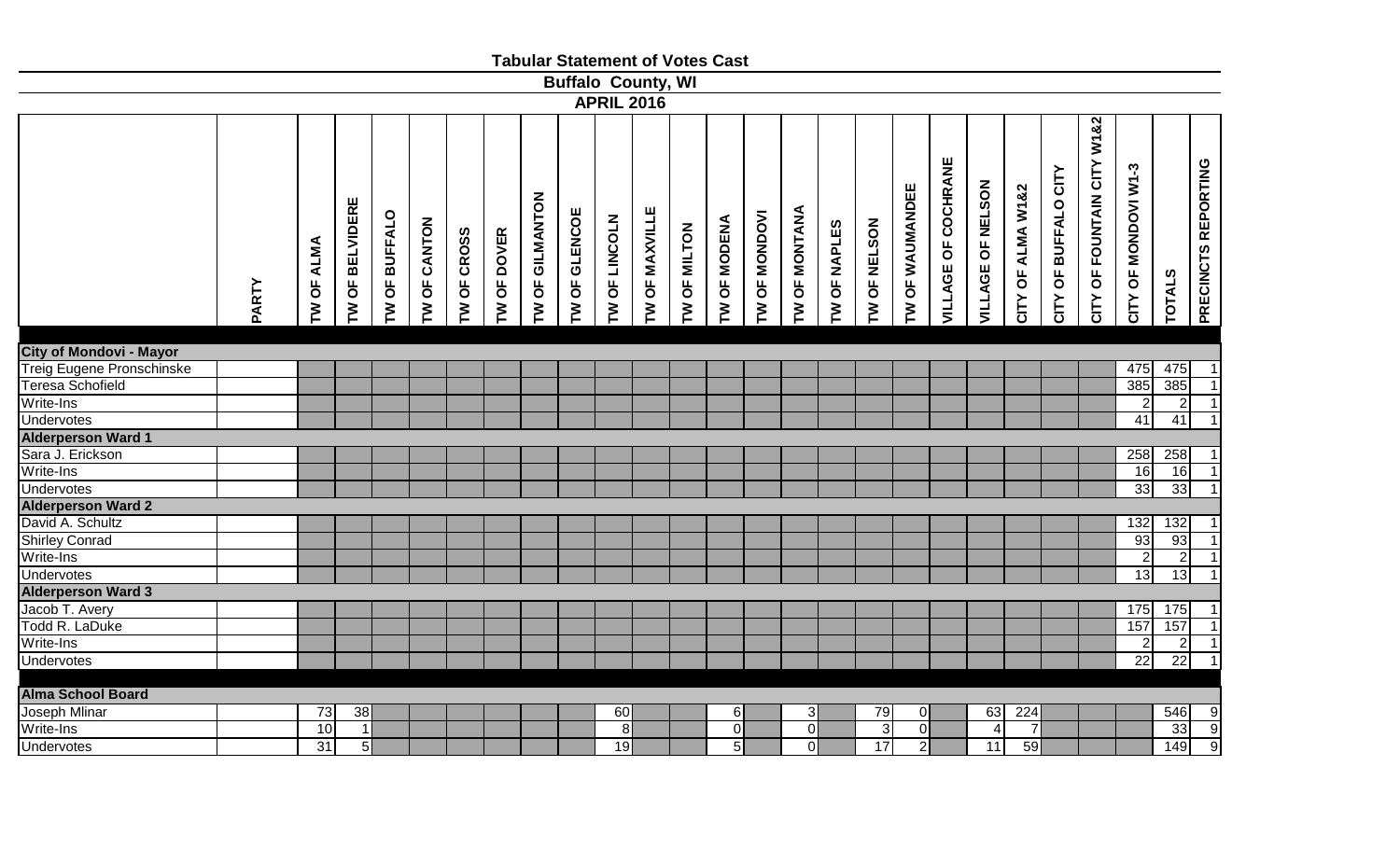|                                |       |            |                                                         |                      |              |             |             |                 |               | <b>Tabular Statement of Votes Cast</b> |                |              |                |                      |                |              |                |                 |                            |                   |                   |                      |                               |                      |                |                          |
|--------------------------------|-------|------------|---------------------------------------------------------|----------------------|--------------|-------------|-------------|-----------------|---------------|----------------------------------------|----------------|--------------|----------------|----------------------|----------------|--------------|----------------|-----------------|----------------------------|-------------------|-------------------|----------------------|-------------------------------|----------------------|----------------|--------------------------|
|                                |       |            |                                                         |                      |              |             |             |                 |               | <b>Buffalo County, WI</b>              |                |              |                |                      |                |              |                |                 |                            |                   |                   |                      |                               |                      |                |                          |
|                                |       |            |                                                         |                      |              |             |             |                 |               | <b>APRIL 2016</b>                      |                |              |                |                      |                |              |                |                 |                            |                   |                   |                      |                               |                      |                |                          |
|                                | PARTY | TW OF ALMA | <b>BELVIDERE</b><br>$\overline{6}$<br>$\mathsf{\Sigma}$ | <b>TW OF BUFFALO</b> | TW OF CANTON | TW OF CROSS | TW OF DOVER | TW OF GILMANTON | TW OF GLENCOE | OF LINCOLN<br>ξ                        | TW OF MAXVILLE | TW OF MILTON | TW OF MODENA   | <b>TW OF MONDOVI</b> | TW OF MONTANA  | TW OF NAPLES | TW OF NELSON   | TW OF WAUMANDEE | <b>VILLAGE OF COCHRANE</b> | VILLAGE OF NELSON | CITY OF ALMA W1&2 | CITY OF BUFFALO CITY | W1&2<br>CITY OF FOUNTAIN CITY | CITY OF MONDOVI W1-3 | <b>TOTALS</b>  | PRECINCTS REPORTING      |
|                                |       |            |                                                         |                      |              |             |             |                 |               |                                        |                |              |                |                      |                |              |                |                 |                            |                   |                   |                      |                               |                      |                |                          |
| <b>City of Mondovi - Mayor</b> |       |            |                                                         |                      |              |             |             |                 |               |                                        |                |              |                |                      |                |              |                |                 |                            |                   |                   |                      |                               |                      |                |                          |
| Treig Eugene Pronschinske      |       |            |                                                         |                      |              |             |             |                 |               |                                        |                |              |                |                      |                |              |                |                 |                            |                   |                   |                      |                               | 475                  | 475            | $\mathbf{1}$             |
| <b>Teresa Schofield</b>        |       |            |                                                         |                      |              |             |             |                 |               |                                        |                |              |                |                      |                |              |                |                 |                            |                   |                   |                      |                               | 385                  | 385            | $\overline{1}$           |
| Write-Ins                      |       |            |                                                         |                      |              |             |             |                 |               |                                        |                |              |                |                      |                |              |                |                 |                            |                   |                   |                      |                               | 2                    | $\overline{2}$ | $\overline{1}$           |
| <b>Undervotes</b>              |       |            |                                                         |                      |              |             |             |                 |               |                                        |                |              |                |                      |                |              |                |                 |                            |                   |                   |                      |                               | 41                   | 41             | $\mathbf{1}$             |
| <b>Alderperson Ward 1</b>      |       |            |                                                         |                      |              |             |             |                 |               |                                        |                |              |                |                      |                |              |                |                 |                            |                   |                   |                      |                               |                      |                |                          |
| Sara J. Erickson               |       |            |                                                         |                      |              |             |             |                 |               |                                        |                |              |                |                      |                |              |                |                 |                            |                   |                   |                      |                               | 258                  | 258            |                          |
| Write-Ins                      |       |            |                                                         |                      |              |             |             |                 |               |                                        |                |              |                |                      |                |              |                |                 |                            |                   |                   |                      |                               | 16                   | 16             | $\overline{1}$           |
| Undervotes                     |       |            |                                                         |                      |              |             |             |                 |               |                                        |                |              |                |                      |                |              |                |                 |                            |                   |                   |                      |                               | 33                   | 33             | $\overline{1}$           |
| <b>Alderperson Ward 2</b>      |       |            |                                                         |                      |              |             |             |                 |               |                                        |                |              |                |                      |                |              |                |                 |                            |                   |                   |                      |                               |                      |                |                          |
| David A. Schultz               |       |            |                                                         |                      |              |             |             |                 |               |                                        |                |              |                |                      |                |              |                |                 |                            |                   |                   |                      |                               | 132                  | 132            | $\mathbf{1}$             |
| <b>Shirley Conrad</b>          |       |            |                                                         |                      |              |             |             |                 |               |                                        |                |              |                |                      |                |              |                |                 |                            |                   |                   |                      |                               | 93                   | 93             | $\overline{1}$           |
| Write-Ins                      |       |            |                                                         |                      |              |             |             |                 |               |                                        |                |              |                |                      |                |              |                |                 |                            |                   |                   |                      |                               | $\mathcal{D}$        | $\overline{2}$ | $\overline{1}$           |
| Undervotes                     |       |            |                                                         |                      |              |             |             |                 |               |                                        |                |              |                |                      |                |              |                |                 |                            |                   |                   |                      |                               | 13                   | 13             | $\overline{1}$           |
| <b>Alderperson Ward 3</b>      |       |            |                                                         |                      |              |             |             |                 |               |                                        |                |              |                |                      |                |              |                |                 |                            |                   |                   |                      |                               |                      |                |                          |
| Jacob T. Avery                 |       |            |                                                         |                      |              |             |             |                 |               |                                        |                |              |                |                      |                |              |                |                 |                            |                   |                   |                      |                               | 175                  | 175            |                          |
| Todd R. LaDuke                 |       |            |                                                         |                      |              |             |             |                 |               |                                        |                |              |                |                      |                |              |                |                 |                            |                   |                   |                      |                               | 157                  | 157            | $\overline{\phantom{a}}$ |
| Write-Ins                      |       |            |                                                         |                      |              |             |             |                 |               |                                        |                |              |                |                      |                |              |                |                 |                            |                   |                   |                      |                               | $\overline{2}$       | $\overline{2}$ | $\overline{1}$           |
| Undervotes                     |       |            |                                                         |                      |              |             |             |                 |               |                                        |                |              |                |                      |                |              |                |                 |                            |                   |                   |                      |                               | $\overline{22}$      | 22             | $\overline{1}$           |
| <b>Alma School Board</b>       |       |            |                                                         |                      |              |             |             |                 |               |                                        |                |              |                |                      |                |              |                |                 |                            |                   |                   |                      |                               |                      |                |                          |
| <b>Joseph Mlinar</b>           |       | 73         | 38                                                      |                      |              |             |             |                 |               | 60                                     |                |              | $6 \mid$       |                      | 31             |              | 79             | οI              |                            | 63                | 224               |                      |                               |                      | 546            |                          |
| Write-Ins                      |       | 10         | $\vert$ 1                                               |                      |              |             |             |                 |               | 8                                      |                |              | $\overline{0}$ |                      | $\overline{0}$ |              | $\overline{3}$ | $\overline{0}$  |                            | $\overline{4}$    | $\overline{7}$    |                      |                               |                      | 33             | $\frac{1}{9}$            |
| <b>Undervotes</b>              |       | 31         | 5                                                       |                      |              |             |             |                 |               | 19                                     |                |              | $\overline{5}$ |                      | $\overline{0}$ |              | 17             | $\overline{2}$  |                            | 11                | 59                |                      |                               |                      | 149            |                          |
|                                |       |            |                                                         |                      |              |             |             |                 |               |                                        |                |              |                |                      |                |              |                |                 |                            |                   |                   |                      |                               |                      |                |                          |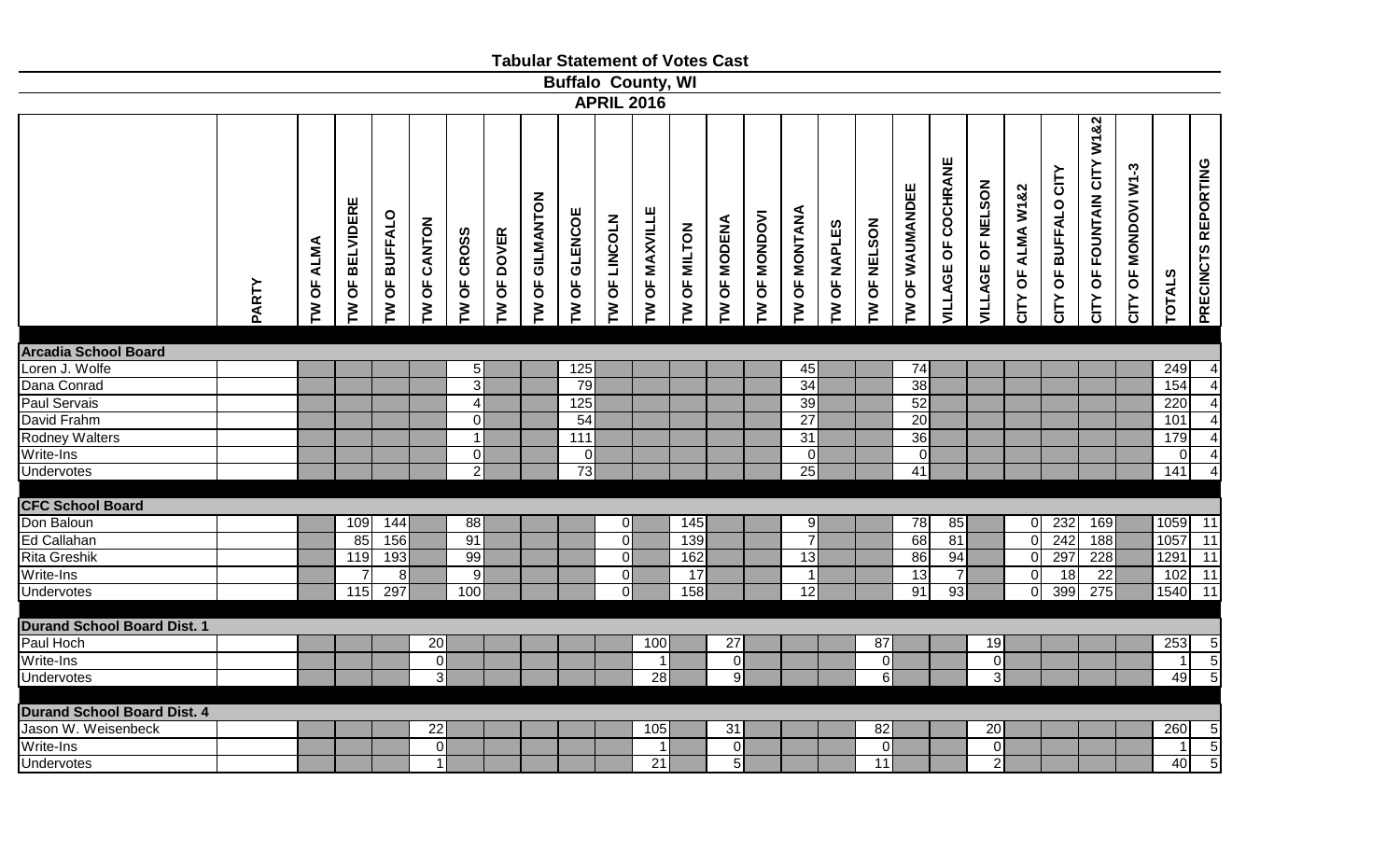|                                    |              |            |                   |                                                |                 |                  |               |                 |                |                                |                           | <b>Tabular Statement of Votes Cast</b> |                                      |                 |                 |                |              |                 |                     |                   |                   |                         |                            |                      |                |                         |
|------------------------------------|--------------|------------|-------------------|------------------------------------------------|-----------------|------------------|---------------|-----------------|----------------|--------------------------------|---------------------------|----------------------------------------|--------------------------------------|-----------------|-----------------|----------------|--------------|-----------------|---------------------|-------------------|-------------------|-------------------------|----------------------------|----------------------|----------------|-------------------------|
|                                    |              |            |                   |                                                |                 |                  |               |                 |                |                                | <b>Buffalo County, WI</b> |                                        |                                      |                 |                 |                |              |                 |                     |                   |                   |                         |                            |                      |                |                         |
|                                    |              |            |                   |                                                |                 |                  |               |                 |                |                                | <b>APRIL 2016</b>         |                                        |                                      |                 |                 |                |              |                 |                     |                   |                   |                         |                            |                      |                |                         |
|                                    | <b>PARTY</b> | TW OF ALMA | OF BELVIDERE<br>M | <b>BUFFALO</b><br>$\overline{\mathsf{b}}$<br>ξ | TW OF CANTON    | TW OF CROSS      | OF DOVER<br>M | TW OF GILMANTON | TW OF GLENCOE  | OF LINCOLN<br>$\sum_{i=1}^{n}$ | TW OF MAXVILLE            | TW OF MILTON                           | <b>OF MODENA</b><br>$\sum_{i=1}^{n}$ | OF MONDOVI<br>M | TW OF MONTANA   | OF NAPLES<br>M | TW OF NELSON | TW OF WAUMANDEE | VILLAGE OF COCHRANE | VILLAGE OF NELSON | CITY OF ALMA W1&2 | OF BUFFALO CITY<br>CITY | CITY OF FOUNTAIN CITY W182 | CITY OF MONDOVI W1-3 | <b>TOTALS</b>  | PRECINCTS REPORTING     |
| <b>Arcadia School Board</b>        |              |            |                   |                                                |                 |                  |               |                 |                |                                |                           |                                        |                                      |                 |                 |                |              |                 |                     |                   |                   |                         |                            |                      |                |                         |
| Loren J. Wolfe                     |              |            |                   |                                                |                 | 5 <sub>l</sub>   |               |                 | 125            |                                |                           |                                        |                                      |                 | 45              |                |              | 74              |                     |                   |                   |                         |                            |                      | 249            | $\overline{4}$          |
| Dana Conrad                        |              |            |                   |                                                |                 | $\overline{3}$   |               |                 | 79             |                                |                           |                                        |                                      |                 | 34              |                |              | 38              |                     |                   |                   |                         |                            |                      | 154            | $\overline{\mathbf{r}}$ |
| <b>Paul Servais</b>                |              |            |                   |                                                |                 | $\blacktriangle$ |               |                 | 125            |                                |                           |                                        |                                      |                 | 39              |                |              | 52              |                     |                   |                   |                         |                            |                      | 220            | $\overline{4}$          |
| David Frahm                        |              |            |                   |                                                |                 | $\overline{0}$   |               |                 | 54             |                                |                           |                                        |                                      |                 | $\overline{27}$ |                |              | $\overline{20}$ |                     |                   |                   |                         |                            |                      | 101            | $\overline{\mathbf{A}}$ |
| <b>Rodney Walters</b>              |              |            |                   |                                                |                 | $\mathbf{1}$     |               |                 | 111            |                                |                           |                                        |                                      |                 | 31              |                |              | 36              |                     |                   |                   |                         |                            |                      | 179            | $\overline{4}$          |
| Write-Ins                          |              |            |                   |                                                |                 | $\overline{0}$   |               |                 | $\overline{0}$ |                                |                           |                                        |                                      |                 | $\overline{0}$  |                |              | 0               |                     |                   |                   |                         |                            |                      | $\overline{0}$ | $\overline{4}$          |
| Undervotes                         |              |            |                   |                                                |                 | $\overline{2}$   |               |                 | 73             |                                |                           |                                        |                                      |                 | 25              |                |              | 41              |                     |                   |                   |                         |                            |                      | 141            | $\overline{4}$          |
|                                    |              |            |                   |                                                |                 |                  |               |                 |                |                                |                           |                                        |                                      |                 |                 |                |              |                 |                     |                   |                   |                         |                            |                      |                |                         |
| <b>CFC School Board</b>            |              |            |                   |                                                |                 |                  |               |                 |                |                                |                           |                                        |                                      |                 |                 |                |              |                 |                     |                   |                   |                         |                            |                      |                |                         |
| Don Baloun                         |              |            | 109               | 144                                            |                 | 88               |               |                 |                | 0                              |                           | 145                                    |                                      |                 | 9               |                |              | 78              | 85                  |                   | $\overline{0}$    | 232                     | 169                        |                      | 1059 11        |                         |
| Ed Callahan                        |              |            | 85                | 156                                            |                 | 91               |               |                 |                | $\overline{0}$                 |                           | 139                                    |                                      |                 | $\overline{7}$  |                |              | 68              | 81                  |                   | $\overline{0}$    | 242                     | 188                        |                      | 1057           | $\boxed{11}$            |
| Rita Greshik                       |              |            | 119               | 193                                            |                 | 99               |               |                 |                | 0                              |                           | 162                                    |                                      |                 | 13              |                |              | 86              | 94                  |                   | $\overline{0}$    | 297                     | 228                        |                      | 1291 11        |                         |
| Write-Ins                          |              |            | $\overline{7}$    | 8                                              |                 | $\boldsymbol{9}$ |               |                 |                | 0                              |                           | 17                                     |                                      |                 | 1               |                |              | $\overline{13}$ | $\overline{7}$      |                   | $\overline{0}$    | 18                      | $\overline{22}$            |                      | $102$ 11       |                         |
| <b>Undervotes</b>                  |              |            | 115               | 297                                            |                 | 100              |               |                 |                | $\Omega$                       |                           | 158                                    |                                      |                 | 12              |                |              | 91              | 93                  |                   | $\overline{0}$    | 399                     | 275                        |                      | 1540 11        |                         |
|                                    |              |            |                   |                                                |                 |                  |               |                 |                |                                |                           |                                        |                                      |                 |                 |                |              |                 |                     |                   |                   |                         |                            |                      |                |                         |
| <b>Durand School Board Dist. 1</b> |              |            |                   |                                                |                 |                  |               |                 |                |                                |                           |                                        |                                      |                 |                 |                |              |                 |                     |                   |                   |                         |                            |                      |                |                         |
| Paul Hoch                          |              |            |                   |                                                | 20              |                  |               |                 |                |                                | 100                       |                                        | 27                                   |                 |                 |                | 87           |                 |                     | 19                |                   |                         |                            |                      | 253            | $\overline{5}$          |
| Write-Ins                          |              |            |                   |                                                | $\overline{0}$  |                  |               |                 |                |                                | $\overline{1}$            |                                        | 0                                    |                 |                 |                | $\mathbf 0$  |                 |                     | $\overline{0}$    |                   |                         |                            |                      | $\mathbf{1}$   | $\overline{5}$          |
| <b>Undervotes</b>                  |              |            |                   |                                                | $\overline{3}$  |                  |               |                 |                |                                | 28                        |                                        | $\overline{9}$                       |                 |                 |                | $\,6\,$      |                 |                     | $\overline{3}$    |                   |                         |                            |                      | 49             | $\overline{5}$          |
| <b>Durand School Board Dist. 4</b> |              |            |                   |                                                |                 |                  |               |                 |                |                                |                           |                                        |                                      |                 |                 |                |              |                 |                     |                   |                   |                         |                            |                      |                |                         |
| Jason W. Weisenbeck                |              |            |                   |                                                | $\overline{22}$ |                  |               |                 |                |                                | 105                       |                                        | 31                                   |                 |                 |                | 82           |                 |                     | 20                |                   |                         |                            |                      | 260            |                         |
| Write-Ins                          |              |            |                   |                                                | $\overline{0}$  |                  |               |                 |                |                                | -1                        |                                        | 0                                    |                 |                 |                | $\mathbf 0$  |                 |                     | $\overline{0}$    |                   |                         |                            |                      | $\overline{1}$ |                         |
| <b>Undervotes</b>                  |              |            |                   |                                                | 1 <sup>1</sup>  |                  |               |                 |                |                                | 21                        |                                        | $\overline{5}$                       |                 |                 |                | 11           |                 |                     | $\overline{2}$    |                   |                         |                            |                      | 40             | $\frac{5}{5}$           |